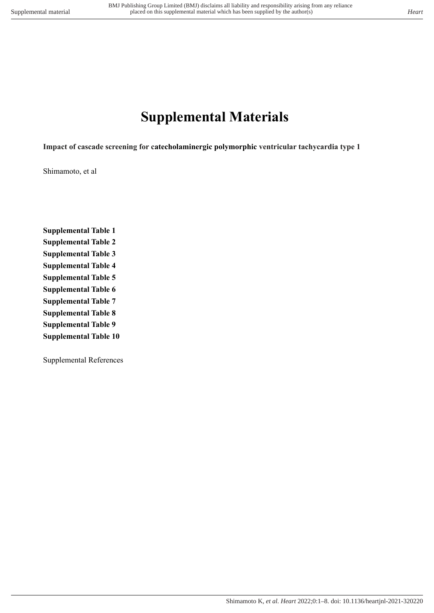# **Supplemental Materials**

**Impact of cascade screening for catecholaminergic polymorphic ventricular tachycardia type 1**

Shimamoto, et al

**Supplemental Table 1 Supplemental Table 2 Supplemental Table 3 Supplemental Table 4 Supplemental Table 5 Supplemental Table 6 Supplemental Table 7 Supplemental Table 8 Supplemental Table 9 Supplemental Table 10**

Supplemental References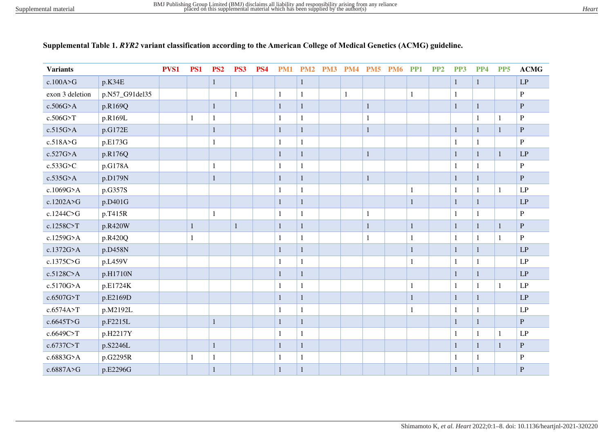| <b>Variants</b> |                | PVS1 | PS1          | PS <sub>2</sub> | PS3          | PS <sub>4</sub> | <b>PM1</b>   | <b>PM2</b>   | PM3 | <b>PM4</b>   | PM <sub>5</sub> | <b>PM6</b> | PP <sub>1</sub> | PP <sub>2</sub> | PP3          | PP4          | PP <sub>5</sub> | <b>ACMG</b>            |
|-----------------|----------------|------|--------------|-----------------|--------------|-----------------|--------------|--------------|-----|--------------|-----------------|------------|-----------------|-----------------|--------------|--------------|-----------------|------------------------|
| c.100A > G      | p.K34E         |      |              | $\mathbf{1}$    |              |                 |              | 1            |     |              |                 |            |                 |                 | $\mathbf{1}$ | $\mathbf{1}$ |                 | $\mathbf{L}\mathbf{P}$ |
| exon 3 deletion | p.N57_G91del35 |      |              |                 | $\mathbf{1}$ |                 | 1            | 1            |     | $\mathbf{1}$ |                 |            | 1               |                 | $\mathbf{1}$ |              |                 | P                      |
| c.506G>A        | p.R169Q        |      |              | $\mathbf{1}$    |              |                 | 1            | 1            |     |              | 1               |            |                 |                 | $\mathbf{1}$ | $\mathbf{1}$ |                 | $\mathbf P$            |
| c.506G>T        | p.R169L        |      | $\mathbf{1}$ |                 |              |                 | 1            | 1            |     |              | 1               |            |                 |                 |              | $\mathbf{1}$ | $\mathbf{1}$    | ${\bf P}$              |
| $c.515G$ >A     | p.G172E        |      |              | 1               |              |                 | 1            | 1            |     |              | 1               |            |                 |                 | $\mathbf{1}$ | $\mathbf{1}$ | $\mathbf{1}$    | $\mathbf{P}$           |
| c.518A > G      | p.E173G        |      |              | 1               |              |                 | 1            | 1            |     |              |                 |            |                 |                 | $\mathbf{1}$ | 1            |                 | P                      |
| $c.527G$ >A     | p.R176Q        |      |              |                 |              |                 | $\mathbf{1}$ | $\mathbf{1}$ |     |              | $\mathbf{1}$    |            |                 |                 | $\mathbf{1}$ | $\mathbf{1}$ | $\mathbf{1}$    | LP                     |
| c.533G>C        | p.G178A        |      |              | $\mathbf{1}$    |              |                 | 1            | 1            |     |              |                 |            |                 |                 | 1            | 1            |                 | $\mathbf{P}$           |
| $c.535G$ >A     | p.D179N        |      |              | $\mathbf{1}$    |              |                 | $\mathbf{1}$ | 1            |     |              | $\mathbf{1}$    |            |                 |                 | $\mathbf{1}$ | $\mathbf{1}$ |                 | $\mathbf{P}$           |
| c.1069G>A       | p.G357S        |      |              |                 |              |                 | 1            | 1            |     |              |                 |            | 1               |                 | $\mathbf{1}$ | 1            | $\mathbf{1}$    | LP                     |
| c.1202A>G       | p.D401G        |      |              |                 |              |                 | $\mathbf{1}$ | 1            |     |              |                 |            | 1               |                 | $\mathbf{1}$ | 1            |                 | LP                     |
| c.1244C>G       | p.T415R        |      |              | $\mathbf{1}$    |              |                 | 1            | 1            |     |              | 1               |            |                 |                 | $\mathbf{1}$ | 1            |                 | ${\bf P}$              |
| c.1258C>T       | p.R420W        |      | 1            |                 | 1            |                 | 1            |              |     |              | ı               |            | 1               |                 | $\mathbf{1}$ | $\mathbf{1}$ | 1               | $\mathbf P$            |
| c.1259G>A       | p.R420Q        |      |              |                 |              |                 | 1            | 1            |     |              | 1               |            | 1               |                 | $\mathbf{1}$ | 1            | $\mathbf{1}$    | ${\bf P}$              |
| c.1372G>A       | p.D458N        |      |              |                 |              |                 | 1            | 1            |     |              |                 |            | $\mathbf{1}$    |                 | $\mathbf{1}$ | $\mathbf{1}$ |                 | LP                     |
| c.1375C>G       | p.L459V        |      |              |                 |              |                 | 1            | 1            |     |              |                 |            | 1               |                 | $\mathbf{1}$ | 1            |                 | LP                     |
| c.5128C>A       | p.H1710N       |      |              |                 |              |                 | 1            |              |     |              |                 |            |                 |                 | 1            | 1            |                 | LP                     |
| c.5170G>A       | p.E1724K       |      |              |                 |              |                 | 1            | 1            |     |              |                 |            | $\mathbf{1}$    |                 | $\mathbf{1}$ | $\mathbf{1}$ | $\mathbf{1}$    | LP                     |
| c.6507G>T       | p.E2169D       |      |              |                 |              |                 | 1            | 1            |     |              |                 |            | 1               |                 | $\mathbf{1}$ | 1            |                 | LP                     |
| c.6574A>T       | p.M2192L       |      |              |                 |              |                 | 1            | 1            |     |              |                 |            | 1               |                 | $\mathbf{1}$ | 1            |                 | LP                     |
| c.6645T>G       | p.F2215L       |      |              | 1               |              |                 | 1            | 1            |     |              |                 |            |                 |                 | $\mathbf{1}$ | $\mathbf{1}$ |                 | $\mathbf{P}$           |
| c.6649C>T       | p.H2217Y       |      |              |                 |              |                 | 1            | 1            |     |              |                 |            |                 |                 | $\mathbf{1}$ | $\mathbf{1}$ | 1               | LP                     |
| c.6737C>T       | p.S2246L       |      |              | $\mathbf{1}$    |              |                 | 1            | 1            |     |              |                 |            |                 |                 | $\mathbf{1}$ | $\mathbf{1}$ | $\mathbf{1}$    | $\mathbf P$            |
| c.6883G>A       | p.G2295R       |      |              | 1               |              |                 | 1            | 1            |     |              |                 |            |                 |                 | 1            | 1            |                 | P                      |
| c.6887A>G       | p.E2296G       |      |              | $\mathbf{1}$    |              |                 | 1            | 1            |     |              |                 |            |                 |                 | $\mathbf{1}$ | 1            |                 | $\mathbf P$            |

# **Supplemental Table 1.** *RYR2* **variant classification according to the American College of Medical Genetics (ACMG) guideline.**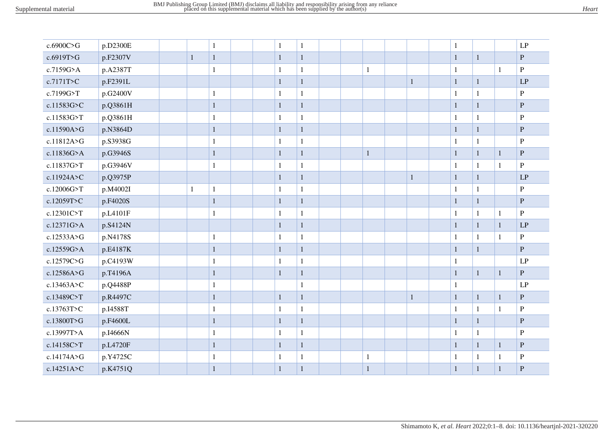| c.6900C>G  | p.D2300E |              | $\mathbf{1}$ | $\mathbf{1}$ | $\mathbf{1}$ |  |              |              | $\mathbf{1}$ |              |              | LP           |
|------------|----------|--------------|--------------|--------------|--------------|--|--------------|--------------|--------------|--------------|--------------|--------------|
| c.6919T>G  | p.F2307V | $\mathbf{1}$ | $\mathbf{1}$ | $\mathbf{1}$ | $\,1\,$      |  |              |              | $\mathbf{1}$ | $\mathbf{1}$ |              | ${\bf P}$    |
| c.7159G>A  | p.A2387T |              | $\mathbf{1}$ | $\mathbf{1}$ | $\mathbf 1$  |  | $\mathbf{1}$ |              | $\mathbf{1}$ |              | $\mathbf{1}$ | $\, {\bf P}$ |
| c.7171T>C  | p.F2391L |              |              | $1\,$        | $\,1\,$      |  |              | $\mathbf{1}$ | $\mathbf{1}$ | $\mathbf{1}$ |              | LP           |
| c.7199G>T  | p.G2400V |              | $\mathbf{1}$ | $\mathbf{1}$ | $\mathbf{1}$ |  |              |              | $\mathbf{1}$ | $\mathbf{1}$ |              | $\, {\bf P}$ |
| c.11583G>C | p.Q3861H |              | $\mathbf{1}$ | $\mathbf{1}$ | $\,1\,$      |  |              |              | $\mathbf{1}$ | $\mathbf{1}$ |              | $\, {\bf P}$ |
| c.11583G>T | p.Q3861H |              | $\mathbf{1}$ | $\mathbf{1}$ | $\,1\,$      |  |              |              | $\mathbf{1}$ | $\mathbf{1}$ |              | $\, {\bf P}$ |
| c.11590A>G | p.N3864D |              | $\mathbf 1$  | $\mathbf{1}$ | $\,1\,$      |  |              |              | $\mathbf{1}$ | $\mathbf{1}$ |              | ${\bf P}$    |
| c.11812A>G | p.S3938G |              | $\mathbf{1}$ | 1            | $\mathbf{1}$ |  |              |              | $\mathbf{1}$ | $\mathbf{1}$ |              | $\mathbf{P}$ |
| c.11836G>A | p.G3946S |              | $\mathbf{1}$ | $\mathbf{1}$ | $\,1\,$      |  | $\mathbf{1}$ |              | $\mathbf{1}$ | $\mathbf{1}$ | $\mathbf{1}$ | ${\bf P}$    |
| c.11837G>T | p.G3946V |              | $\mathbf{1}$ | $\mathbf{1}$ | $\mathbf{1}$ |  |              |              | $\mathbf{1}$ | $\mathbf{1}$ | $\mathbf{1}$ | ${\bf P}$    |
| c.11924A>C | p.Q3975P |              |              | $\mathbf{1}$ | $\,1\,$      |  |              | $\mathbf{1}$ | $\mathbf{1}$ | $\mathbf{1}$ |              | LP           |
| c.12006G>T | p.M4002I | $\mathbf{1}$ | $\mathbf{1}$ | $\mathbf{1}$ | $\mathbf 1$  |  |              |              | $\mathbf{1}$ | $\mathbf{1}$ |              | $\, {\bf P}$ |
| c.12059T>C | p.F4020S |              | $\mathbf 1$  | $\mathbf{1}$ | $\,1\,$      |  |              |              | $\mathbf{1}$ | $\mathbf{1}$ |              | ${\bf P}$    |
| c.12301C>T | p.L4101F |              | $\mathbf{1}$ | $\mathbf{1}$ | $\,1\,$      |  |              |              | $\mathbf{1}$ | $\mathbf{1}$ | $\mathbf{1}$ | $\, {\bf P}$ |
| c.12371G>A | p.S4124N |              |              | $\mathbf{1}$ | $\,1\,$      |  |              |              | $\mathbf{1}$ | $\mathbf{1}$ | $\mathbf{1}$ | LP           |
| c.12533A>G | p.N4178S |              | $\mathbf{1}$ | 1            | $\mathbf 1$  |  |              |              | $\mathbf{1}$ | $\mathbf{1}$ | $\mathbf{1}$ | $\, {\bf P}$ |
| c.12559G>A | p.E4187K |              | $\mathbf{1}$ | $\mathbf{1}$ | $\mathbf{1}$ |  |              |              | $\mathbf{1}$ | $\mathbf{1}$ |              | $\mathbf{P}$ |
| c.12579C>G | p.C4193W |              | $\mathbf{1}$ | 1            | $\mathbf 1$  |  |              |              | $\mathbf{1}$ |              |              | LP           |
| c.12586A>G | p.T4196A |              | $\mathbf 1$  | $\mathbf{1}$ | $\mathbf{1}$ |  |              |              | $\mathbf{1}$ | $\mathbf{1}$ | $\mathbf{1}$ | $\, {\bf P}$ |
| c.13463A>C | p.Q4488P |              | $\mathbf{1}$ |              | $\mathbf 1$  |  |              |              | $\mathbf{1}$ |              |              | LP           |
| c.13489C>T | p.R4497C |              | $\mathbf{1}$ | $\mathbf{1}$ | $\,1$        |  |              | $\mathbf{1}$ | $\mathbf{1}$ | $\mathbf{1}$ | $\mathbf{1}$ | $\mathbf P$  |
| c.13763T>C | p.I4588T |              | $\mathbf{1}$ | $\mathbf{1}$ | $\mathbf 1$  |  |              |              | $\mathbf{1}$ | $\mathbf{1}$ | $\mathbf{1}$ | $\, {\bf P}$ |
| c.13800T>G | p.F4600L |              | $\mathbf{1}$ | $\mathbf{1}$ | $\mathbf{1}$ |  |              |              | $\mathbf{1}$ | $\mathbf{1}$ |              | $\, {\bf P}$ |
| c.13997T>A | p.I4666N |              | $\mathbf{1}$ | $\mathbf{1}$ | $\,1\,$      |  |              |              | $\mathbf{1}$ | $\mathbf{1}$ |              | $\mathbf{P}$ |
| c.14158C>T | p.L4720F |              | $\mathbf 1$  | $\,1\,$      | $\,1\,$      |  |              |              | $\mathbf{1}$ | $\mathbf{1}$ | $\mathbf{1}$ | ${\bf P}$    |
| c.14174A>G | p.Y4725C |              | $\mathbf{1}$ | 1            | $\mathbf 1$  |  | $\mathbf{1}$ |              | 1            | $\mathbf{1}$ | $\mathbf{1}$ | $\, {\bf P}$ |
| c.14251A>C | p.K4751Q |              | $\mathbf{1}$ | $\mathbf{1}$ | $\,1\,$      |  | $\mathbf{1}$ |              | $\mathbf{1}$ | $\mathbf{1}$ | $\mathbf{1}$ | ${\bf P}$    |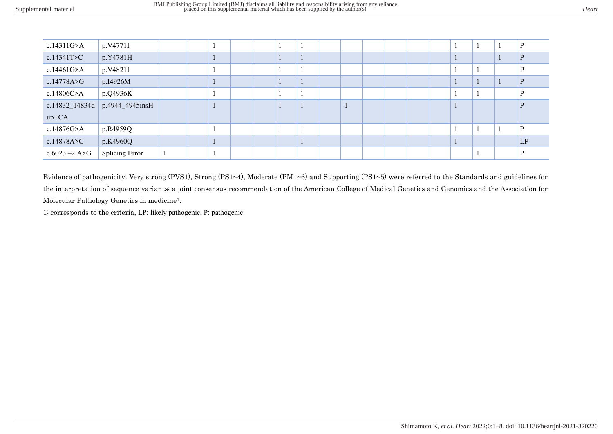| c.14311G > A     | p.V4771I        |  |   |  |  |  |  |  |  | P  |
|------------------|-----------------|--|---|--|--|--|--|--|--|----|
| c.14341T > C     | p.Y4781H        |  |   |  |  |  |  |  |  | D  |
| c.14461 $G$ >A   | p.V4821I        |  |   |  |  |  |  |  |  | D  |
| c.14778A > G     | p.I4926M        |  |   |  |  |  |  |  |  | P  |
| c.14806C>A       | p.Q4936K        |  |   |  |  |  |  |  |  | D  |
| c.14832_14834d   | p.4944_4945insH |  |   |  |  |  |  |  |  | P  |
| upTCA            |                 |  |   |  |  |  |  |  |  |    |
| c.14876G>A       | p.R4959Q        |  |   |  |  |  |  |  |  | D  |
| c.14878A > C     | p.K4960Q        |  | ш |  |  |  |  |  |  | LP |
| $c.6023 - 2$ A>G | Splicing Error  |  |   |  |  |  |  |  |  |    |

Evidence of pathogenicity; Very strong (PVS1), Strong (PS1~4), Moderate (PM1~6) and Supporting (PS1~5) were referred to the Standards and guidelines for the interpretation of sequence variants: a joint consensus recommendation of the American College of Medical Genetics and Genomics and the Association for Molecular Pathology Genetics in medicine1.

1: corresponds to the criteria, LP: likely pathogenic, P: pathogenic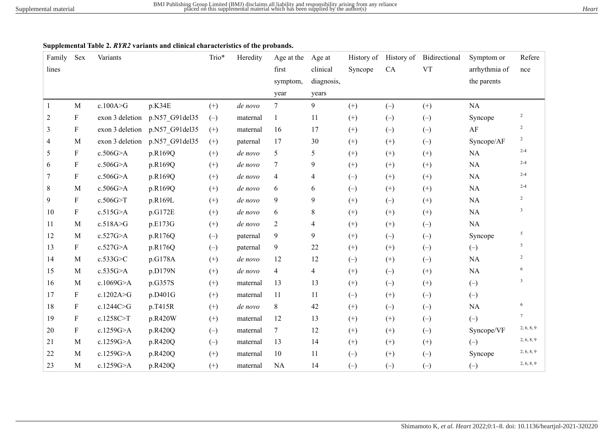# **Supplemental Table 2.** *RYR2* **variants and clinical characteristics of the probands.**

| Family | Sex                       | Variants        |                | Trio* | Heredity | Age at the     | Age at         | History of | History of | Bidirectional | Symptom or    | Refere                  |
|--------|---------------------------|-----------------|----------------|-------|----------|----------------|----------------|------------|------------|---------------|---------------|-------------------------|
| lines  |                           |                 |                |       |          | first          | clinical       | Syncope    | CA         | <b>VT</b>     | arrhythmia of | nce                     |
|        |                           |                 |                |       |          | symptom,       | diagnosis,     |            |            |               | the parents   |                         |
|        |                           |                 |                |       |          | year           | years          |            |            |               |               |                         |
| 1      | $\mathbf M$               | c.100A>G        | p.K34E         | $(+)$ | de novo  | $\tau$         | 9              | $(+)$      | $(-)$      | $(+)$         | NA            |                         |
| 2      | $\boldsymbol{\mathrm{F}}$ | exon 3 deletion | p.N57 G91del35 | $(-)$ | maternal | 1              | 11             | $(+)$      | $(-)$      | $(-)$         | Syncope       | $\overline{c}$          |
| 3      | $\boldsymbol{\mathrm{F}}$ | exon 3 deletion | p.N57 G91del35 | $(+)$ | maternal | 16             | 17             | $^{(+)}$   | $(-)$      | $(-)$         | AF            | $\overline{c}$          |
| 4      | $\mathbf{M}$              | exon 3 deletion | p.N57_G91del35 | $(+)$ | paternal | 17             | 30             | $(+)$      | $(+)$      | $(-)$         | Syncope/AF    | $\sqrt{2}$              |
| 5      | F                         | c.506G>A        | p.R169Q        | $(+)$ | de novo  | 5              | 5              | $(+)$      | $(+)$      | $(+)$         | NA            | $2 - 4$                 |
| 6      | $\boldsymbol{\mathrm{F}}$ | c.506G>A        | p.R169Q        | $(+)$ | de novo  | $\tau$         | 9              | $(+)$      | $(+)$      | $(+)$         | NA            | $2 - 4$                 |
| 7      | $\boldsymbol{\mathrm{F}}$ | c.506G>A        | p.R169Q        | $(+)$ | de novo  | $\overline{4}$ | $\overline{4}$ | $(-)$      | $(+)$      | $(+)$         | NA            | $2 - 4$                 |
| 8      | M                         | c.506G>A        | p.R169Q        | $(+)$ | de novo  | 6              | 6              | $(-)$      | $(+)$      | $(+)$         | NA            | $2 - 4$                 |
| 9      | $\boldsymbol{\mathrm{F}}$ | c.506G>T        | p.R169L        | $(+)$ | de novo  | 9              | 9              | $(+)$      | $(-)$      | $(+)$         | NA            | $\overline{2}$          |
| 10     | F                         | c.515G>A        | p.G172E        | $(+)$ | de novo  | 6              | $\,8\,$        | $^{(+)}$   | $(+)$      | $(+)$         | NA            | $\mathbf{3}$            |
| 11     | M                         | c.518A>G        | p.E173G        | $(+)$ | de novo  | $\overline{2}$ | $\overline{4}$ | $(+)$      | $(+)$      | $(-)$         | NA            |                         |
| 12     | M                         | c.527G>A        | p.R176Q        | $(-)$ | paternal | 9              | 9              | $(+)$      | $(-)$      | $(-)$         | Syncope       | 5                       |
| 13     | F                         | c.527G>A        | p.R176Q        | $(-)$ | paternal | 9              | 22             | $(+)$      | $^{(+)}$   | $(-)$         | $(-)$         | 5                       |
| 14     | $\mathbf{M}$              | c.533G>C        | p.G178A        | $(+)$ | de novo  | 12             | 12             | $(-)$      | $(+)$      | $(-)$         | $\rm NA$      | $\overline{2}$          |
| 15     | M                         | c.535G>A        | p.D179N        | $(+)$ | de novo  | $\overline{4}$ | $\overline{4}$ | $(+)$      | $(-)$      | $(+)$         | $\rm NA$      | 6                       |
| 16     | M                         | c.1069G>A       | p.G357S        | $(+)$ | maternal | 13             | 13             | $(+)$      | $(-)$      | $(+)$         | $(-)$         | $\overline{\mathbf{3}}$ |
| 17     | F                         | c.1202A>G       | p.D401G        | $(+)$ | maternal | 11             | 11             | $(-)$      | $^{(+)}$   | $(-)$         | $(-)$         |                         |
| 18     | $\boldsymbol{\mathrm{F}}$ | c.1244C>G       | p.T415R        | $(+)$ | de novo  | 8              | 42             | $(+)$      | $(-)$      | $(-)$         | $\rm NA$      | 6                       |
| 19     | ${\bf F}$                 | c.1258C>T       | p.R420W        | $(+)$ | maternal | 12             | 13             | $(+)$      | $(+)$      | $(-)$         | $(-)$         | $\tau$                  |
| 20     | F                         | c.1259G>A       | p.R420Q        | $(-)$ | maternal | 7              | 12             | $(+)$      | $(+)$      | $(-)$         | Syncope/VF    | 2, 6, 8, 9              |
| 21     | $\mathbf{M}$              | c.1259G>A       | p.R420Q        | $(-)$ | maternal | 13             | 14             | $(+)$      | $(+)$      | $(+)$         | $(-)$         | 2, 6, 8, 9              |
| 22     | M                         | c.1259G>A       | p.R420Q        | $(+)$ | maternal | 10             | 11             | $(-)$      | $^{(+)}$   | $(-)$         | Syncope       | 2, 6, 8, 9              |
| 23     | $\mathbf{M}$              | c.1259G>A       | p.R420Q        | $(+)$ | maternal | NA             | 14             | $(-)$      | $(-)$      | $(-)$         | $(-)$         | 2, 6, 8, 9              |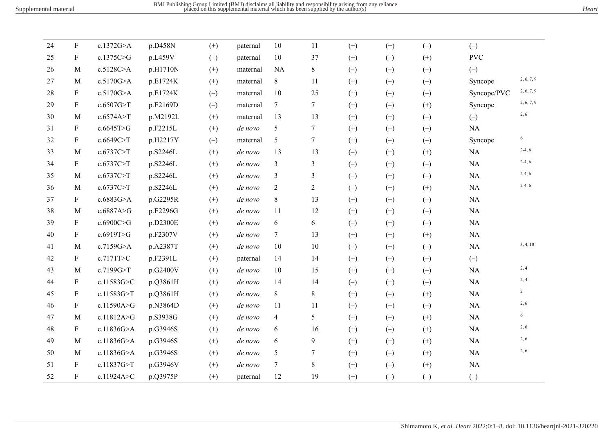| 24 | ${\bf F}$    | c.1372G>A   | p.D458N  | $(+)$ | paternal | 10             | 11             | $(+)$    | $(+)$    | $(-)$    | $(-)$       |                |
|----|--------------|-------------|----------|-------|----------|----------------|----------------|----------|----------|----------|-------------|----------------|
| 25 | F            | c.1375C>G   | p.L459V  | $(-)$ | paternal | 10             | 37             | $(+)$    | $(-)$    | $(+)$    | <b>PVC</b>  |                |
| 26 | M            | c.5128C>A   | p.H1710N | $(+)$ | maternal | <b>NA</b>      | 8              | $(-)$    | $(-)$    | $(-)$    | $(-)$       |                |
| 27 | M            | c.5170G>A   | p.E1724K | $(+)$ | maternal | $8\,$          | 11             | $(+)$    | $(-)$    | $(-)$    | Syncope     | 2, 6, 7, 9     |
| 28 | F            | c.5170G>A   | p.E1724K | $(-)$ | maternal | 10             | 25             | $(+)$    | $(-)$    | $(-)$    | Syncope/PVC | 2, 6, 7, 9     |
| 29 | F            | c.6507G>T   | p.E2169D | $(-)$ | maternal | $\tau$         | $\tau$         | $(+)$    | $(-)$    | $(+)$    | Syncope     | 2, 6, 7, 9     |
| 30 | M            | c.6574A > T | p.M2192L | $(+)$ | maternal | 13             | 13             | $^{(+)}$ | $(+)$    | $(-)$    | $(-)$       | 2, 6           |
| 31 | F            | c.6645T>G   | p.F2215L | $(+)$ | de novo  | 5              | 7              | $(+)$    | $(+)$    | $(-)$    | NA          |                |
| 32 | F            | c.6649C>T   | p.H2217Y | $(-)$ | maternal | 5              | 7              | $(+)$    | $(-)$    | $(-)$    | Syncope     | 6              |
| 33 | M            | c.6737C>T   | p.S2246L | $(+)$ | de novo  | 13             | 13             | $(-)$    | $(+)$    | $^{(+)}$ | NA          | $2-4, 6$       |
| 34 | F            | c.6737C>T   | p.S2246L | $(+)$ | de novo  | 3              | 3              | $(-)$    | $(+)$    | $(-)$    | $\rm NA$    | $2-4, 6$       |
| 35 | M            | c.6737C>T   | p.S2246L | $(+)$ | de novo  | 3              | 3              | $(-)$    | $^{(+)}$ | $(-)$    | NA          | $2-4, 6$       |
| 36 | M            | c.6737C>T   | p.S2246L | $(+)$ | de novo  | 2              | $\overline{c}$ | $(-)$    | $(+)$    | $(+)$    | $\rm NA$    | $2-4, 6$       |
| 37 | $\mathbf{F}$ | c.6883G>A   | p.G2295R | $(+)$ | de novo  | 8              | 13             | $(+)$    | $(+)$    | $(-)$    | $\rm NA$    |                |
| 38 | M            | c.6887A>G   | p.E2296G | $(+)$ | de novo  | 11             | 12             | $(+)$    | $(+)$    | $(-)$    | $\rm NA$    |                |
| 39 | $\mathbf F$  | c.6900C>G   | p.D2300E | $(+)$ | de novo  | 6              | 6              | $(-)$    | $(+)$    | $(-)$    | $\rm NA$    |                |
| 40 | F            | c.6919T>G   | p.F2307V | $(+)$ | de novo  | 7              | 13             | $^{(+)}$ | $(+)$    | $^{(+)}$ | $\rm NA$    |                |
| 41 | M            | c.7159G>A   | p.A2387T | $(+)$ | de novo  | 10             | 10             | $(-)$    | $(+)$    | $(-)$    | $\rm NA$    | 3, 4, 10       |
| 42 | F            | c.7171T>C   | p.F2391L | $(+)$ | paternal | 14             | 14             | $(+)$    | $(-)$    | $(-)$    | $(-)$       |                |
| 43 | M            | c.7199G>T   | p.G2400V | $(+)$ | de novo  | 10             | 15             | $(+)$    | $(+)$    | $(-)$    | $\rm NA$    | 2, 4           |
| 44 | F            | c.11583G>C  | p.Q3861H | $(+)$ | de novo  | 14             | 14             | $(-)$    | $^{(+)}$ | $(-)$    | $\rm NA$    | 2, 4           |
| 45 | ${\bf F}$    | c.11583G>T  | p.Q3861H | $(+)$ | de novo  | 8              | 8              | $(+)$    | $(-)$    | $^{(+)}$ | $\rm NA$    | $\overline{2}$ |
| 46 | F            | c.11590A>G  | p.N3864D | $(+)$ | de novo  | 11             | 11             | $(-)$    | $(+)$    | $(-)$    | NA          | 2, 6           |
| 47 | M            | c.11812A>G  | p.S3938G | $(+)$ | de novo  | $\overline{4}$ | 5              | $(+)$    | $(-)$    | $^{(+)}$ | $\rm NA$    | 6              |
| 48 | $\mathbf{F}$ | c.11836G>A  | p.G3946S | $(+)$ | de novo  | 6              | 16             | $^{(+)}$ | $(-)$    | $^{(+)}$ | NA          | 2, 6           |
| 49 | M            | c.11836G>A  | p.G3946S | $(+)$ | de novo  | 6              | 9              | $(+)$    | $(+)$    | $(+)$    | $\rm NA$    | 2, 6           |
| 50 | M            | c.11836G>A  | p.G3946S | $(+)$ | de novo  | 5              | 7              | $(+)$    | $(-)$    | $(+)$    | $\rm NA$    | 2, 6           |
| 51 | F            | c.11837G>T  | p.G3946V | $(+)$ | de novo  | 7              | 8              | $(+)$    | $(-)$    | $^{(+)}$ | $\rm NA$    |                |
| 52 | F            | c.11924A>C  | p.Q3975P | $(+)$ | paternal | 12             | 19             | $(+)$    | $(-)$    | $(-)$    | $(-)$       |                |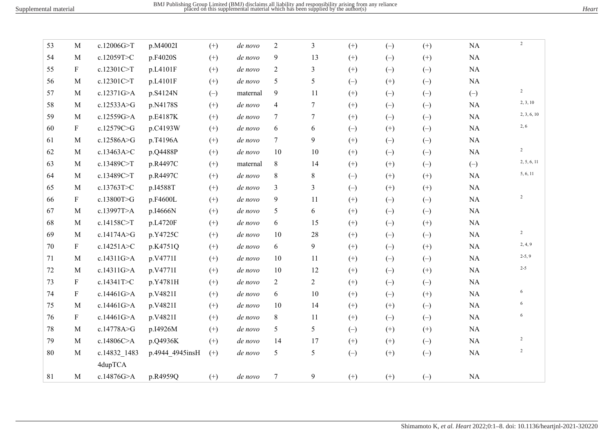| 53 | M            | c.12006G>T   | p.M4002I        | $(+)$    | de novo  | $\overline{c}$   | $\mathfrak{Z}$ | $(+)$    | $(-)$             | $(+)$ | NA       | $\overline{c}$ |
|----|--------------|--------------|-----------------|----------|----------|------------------|----------------|----------|-------------------|-------|----------|----------------|
| 54 | M            | c.12059T>C   | p.F4020S        | $(+)$    | de novo  | 9                | 13             | $(+)$    | $(-)$             | $(+)$ | NA       |                |
| 55 | F            | c.12301C>T   | p.L4101F        | $(+)$    | de novo  | 2                | 3              | $(+)$    | $(-)$             | $(-)$ | NA       |                |
| 56 | $\mathbf M$  | c.12301C>T   | p.L4101F        | $^{(+)}$ | de novo  | 5                | 5              | $(-)$    | $^{(+)}$          | $(-)$ | $\rm NA$ |                |
| 57 | M            | c.12371G>A   | p.S4124N        | $(-)$    | maternal | 9                | 11             | $(+)$    | $(-)$             | $(-)$ | $(-)$    | $\overline{2}$ |
| 58 | M            | c.12533A>G   | p.N4178S        | $(+)$    | de novo  | $\overline{4}$   | 7              | $(+)$    | $(-)$             | $(-)$ | NA       | 2, 3, 10       |
| 59 | $\mathbf{M}$ | c.12559G>A   | p.E4187K        | $^{(+)}$ | de novo  | $\tau$           | 7              | $(+)$    | $(-)$             | $(-)$ | $\rm NA$ | 2, 3, 6, 10    |
| 60 | F            | c.12579C>G   | p.C4193W        | $(+)$    | de novo  | 6                | 6              | $(-)$    | $(+)$             | $(-)$ | NA       | 2, 6           |
| 61 | M            | c.12586A>G   | p.T4196A        | $(+)$    | de novo  | $\tau$           | 9              | $(+)$    | $(-)$             | $(-)$ | NA       |                |
| 62 | $\mathbf{M}$ | c.13463A>C   | p.Q4488P        | $(+)$    | de novo  | 10               | 10             | $(+)$    | $(-)$             | $(-)$ | $\rm NA$ | $\overline{2}$ |
| 63 | M            | c.13489C>T   | p.R4497C        | $(+)$    | maternal | 8                | 14             | $(+)$    | $^{(+)}$          | $(-)$ | $(-)$    | 2, 5, 6, 11    |
| 64 | M            | c.13489C>T   | p.R4497C        | $(+)$    | de novo  | 8                | $8\,$          | $(-)$    | $(+)$             | $(+)$ | NA       | 5, 6, 11       |
| 65 | $\mathbf M$  | c.13763T>C   | p.I4588T        | $(+)$    | de novo  | $\mathfrak{Z}$   | 3              | $(-)$    | $(+)$             | $(+)$ | $\rm NA$ |                |
| 66 | F            | c.13800T>G   | p.F4600L        | $(+)$    | de novo  | 9                | 11             | $^{(+)}$ | $(-)$             | $(-)$ | NA       | $\overline{c}$ |
| 67 | M            | c.13997T>A   | p.I4666N        | $(+)$    | de novo  | 5                | 6              | $(+)$    | $(-)$             | $(-)$ | NA       |                |
| 68 | $\mathbf M$  | c.14158C>T   | p.L4720F        | $(+)$    | de novo  | 6                | 15             | $(+)$    | $\left( -\right)$ | $(+)$ | $\rm NA$ |                |
| 69 | M            | c.14174A>G   | p.Y4725C        | $(+)$    | de novo  | 10               | 28             | $(+)$    | $(-)$             | $(-)$ | NA       | $\overline{2}$ |
| 70 | $\mathbf F$  | c.14251A>C   | p.K4751Q        | $(+)$    | de novo  | 6                | 9              | $(+)$    | $(-)$             | $(+)$ | NA       | 2, 4, 9        |
| 71 | M            | c.14311G>A   | p.V4771I        | $(+)$    | de novo  | 10               | 11             | $(+)$    | $(-)$             | $(-)$ | NA       | $2-5, 9$       |
| 72 | M            | c.14311G>A   | p.V4771I        | $^{(+)}$ | de novo  | 10               | 12             | $(+)$    | $(-)$             | $(+)$ | $\rm NA$ | $2 - 5$        |
| 73 | F            | c.14341T>C   | p.Y4781H        | $(+)$    | de novo  | $\overline{2}$   | $\overline{2}$ | $(+)$    | $(-)$             | $(-)$ | NA       |                |
| 74 | F            | c.14461G>A   | p.V4821I        | $(+)$    | de novo  | 6                | 10             | $(+)$    | $(-)$             | $(+)$ | NA       | 6              |
| 75 | M            | c.14461G>A   | p.V4821I        | $^{(+)}$ | de novo  | 10               | 14             | $(+)$    | $^{(+)}$          | $(-)$ | $\rm NA$ | 6              |
| 76 | F            | c.14461G>A   | p.V4821I        | $(+)$    | de novo  | 8                | 11             | $(+)$    | $(-)$             | $(-)$ | $\rm NA$ | 6              |
| 78 | M            | c.14778A>G   | p.I4926M        | $(+)$    | de novo  | 5                | 5              | $(-)$    | $(+)$             | $(+)$ | NA       |                |
| 79 | $\mathbf{M}$ | c.14806C>A   | p.Q4936K        | $(+)$    | de novo  | 14               | 17             | $(+)$    | $^{(+)}$          | $(-)$ | $\rm NA$ | $\overline{c}$ |
| 80 | $\mathbf{M}$ | c.14832 1483 | p.4944 4945insH | $(+)$    | de novo  | 5                | 5              | $(-)$    | $(+)$             | $(-)$ | NA       | 2              |
|    |              | 4dupTCA      |                 |          |          |                  |                |          |                   |       |          |                |
| 81 | $\mathbf M$  | c.14876G>A   | p.R4959Q        | $(+)$    | de novo  | $\boldsymbol{7}$ | 9              | $(+)$    | $^{(+)}$          | $(-)$ | $\rm NA$ |                |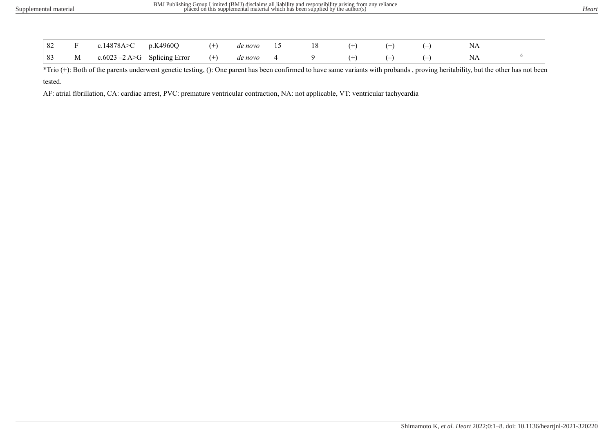|  | 82 F c.14878A>C p.K4960Q (+) denovo 15 18 (+) (+) (-)         |  |  |  |  |  |
|--|---------------------------------------------------------------|--|--|--|--|--|
|  | 83 M c.6023 -2 A>G Splicing Error (+) de novo 4 9 (+) (-) (-) |  |  |  |  |  |

\*Trio (+): Both of the parents underwent genetic testing, (): One parent has been confirmed to have same variants with probands , proving heritability, but the other has not been tested.

AF: atrial fibrillation, CA: cardiac arrest, PVC: premature ventricular contraction, NA: not applicable, VT: ventricular tachycardia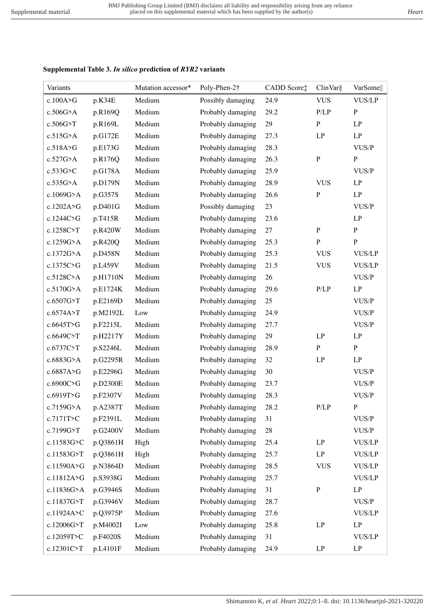# **Supplemental Table 3.** *In silico* **prediction of** *RYR2* **variants**

| Variants     |          | Mutation accessor* | Poly-Phen-2†      | CADD Score‡ | ClinVar§   | VarSome       |
|--------------|----------|--------------------|-------------------|-------------|------------|---------------|
| c.100A > G   | p.K34E   | Medium             | Possibly damaging | 24.9        | <b>VUS</b> | <b>VUS/LP</b> |
| $c.506G$ >A  | p.R169Q  | Medium             | Probably damaging | 29.2        | P/LP       | ${\bf P}$     |
| c.506G>T     | p.R169L  | Medium             | Probably damaging | 29          | ${\bf P}$  | LP            |
| c.515G>A     | p.G172E  | Medium             | Probably damaging | 27.3        | LP         | LP            |
| c.518A>G     | p.E173G  | Medium             | Probably damaging | 28.3        |            | VUS/P         |
| $c.527G$ >A  | p.R176Q  | Medium             | Probably damaging | 26.3        | ${\bf P}$  | ${\bf P}$     |
| $c.533G$ >C  | p.G178A  | Medium             | Probably damaging | 25.9        |            | VUS/P         |
| $c.535G$ >A  | p.D179N  | Medium             | Probably damaging | 28.9        | <b>VUS</b> | LP            |
| c.1069G>A    | p.G357S  | Medium             | Probably damaging | 26.6        | ${\bf P}$  | LP            |
| c.1202A>G    | p.D401G  | Medium             | Possibly damaging | 23          |            | VUS/P         |
| c.1244C>G    | p.T415R  | Medium             | Probably damaging | 23.6        |            | LP            |
| c.1258C>T    | p.R420W  | Medium             | Probably damaging | $27\,$      | ${\bf P}$  | $\, {\bf P}$  |
| $c.1259G$ >A | p.R420Q  | Medium             | Probably damaging | 25.3        | ${\bf P}$  | $\, {\bf p}$  |
| c.1372G>A    | p.D458N  | Medium             | Probably damaging | 25.3        | <b>VUS</b> | <b>VUS/LP</b> |
| c.1375C>G    | p.L459V  | Medium             | Probably damaging | 21.5        | <b>VUS</b> | <b>VUS/LP</b> |
| c.5128C>A    | p.H1710N | Medium             | Probably damaging | 26          |            | VUS/P         |
| $c.5170G$ >A | p.E1724K | Medium             | Probably damaging | 29.6        | P/LP       | LP            |
| c.6507G>T    | p.E2169D | Medium             | Probably damaging | 25          |            | VUS/P         |
| c.6574A>T    | p.M2192L | Low                | Probably damaging | 24.9        |            | VUS/P         |
| c.6645T>G    | p.F2215L | Medium             | Probably damaging | 27.7        |            | VUS/P         |
| c.6649C>T    | p.H2217Y | Medium             | Probably damaging | 29          | LP         | LP            |
| c.6737C>T    | p.S2246L | Medium             | Probably damaging | 28.9        | ${\bf P}$  | $\, {\bf P}$  |
| c.6883G>A    | p.G2295R | Medium             | Probably damaging | 32          | LP         | LP            |
| c.6887A>G    | p.E2296G | Medium             | Probably damaging | 30          |            | VUS/P         |
| c.6900C>G    | p.D2300E | Medium             | Probably damaging | 23.7        |            | VUS/P         |
| c.6919T>G    | p.F2307V | Medium             | Probably damaging | 28.3        |            | VUS/P         |
| c.7159G>A    | p.A2387T | Medium             | Probably damaging | 28.2        | P/LP       | $\mathbf P$   |
| c.7171T>C    | p.F2391L | Medium             | Probably damaging | 31          |            | VUS/P         |
| c.7199G>T    | p.G2400V | Medium             | Probably damaging | 28          |            | VUS/P         |
| c.11583G>C   | p.Q3861H | High               | Probably damaging | 25.4        | LP         | <b>VUS/LP</b> |
| c.11583G>T   | p.Q3861H | High               | Probably damaging | 25.7        | LP         | <b>VUS/LP</b> |
| c.11590A>G   | p.N3864D | Medium             | Probably damaging | 28.5        | <b>VUS</b> | <b>VUS/LP</b> |
| c.11812A>G   | p.S3938G | Medium             | Probably damaging | 25.7        |            | <b>VUS/LP</b> |
| c.11836G>A   | p.G3946S | Medium             | Probably damaging | 31          | ${\bf P}$  | LP            |
| c.11837G>T   | p.G3946V | Medium             | Probably damaging | 28.7        |            | VUS/P         |
| c.11924A>C   | p.Q3975P | Medium             | Probably damaging | 27.6        |            | <b>VUS/LP</b> |
| c.12006G>T   | p.M4002I | Low                | Probably damaging | 25.8        | LP         | LP            |
| c.12059T>C   | p.F4020S | Medium             | Probably damaging | 31          |            | <b>VUS/LP</b> |
| c.12301C>T   | p.L4101F | Medium             | Probably damaging | 24.9        | LP         | LP            |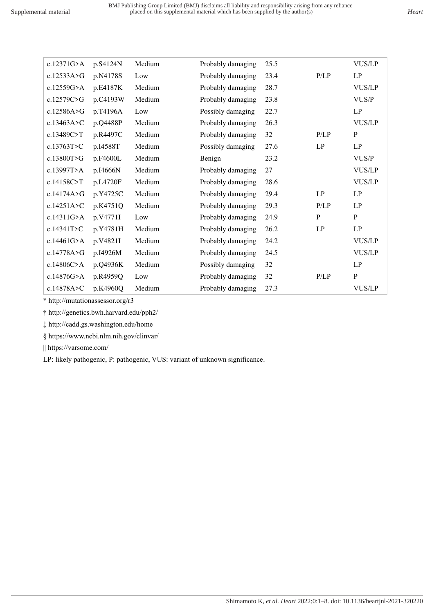| c.12371G>A   | p.S4124N | Medium | Probably damaging | 25.5 |              | <b>VUS/LP</b> |
|--------------|----------|--------|-------------------|------|--------------|---------------|
| c.12533A>G   | p.N4178S | Low    | Probably damaging | 23.4 | P/LP         | LP            |
| c.12559G>A   | p.E4187K | Medium | Probably damaging | 28.7 |              | <b>VUS/LP</b> |
| c.12579C>G   | p.C4193W | Medium | Probably damaging | 23.8 |              | VUS/P         |
| c.12586A>G   | p.T4196A | Low    | Possibly damaging | 22.7 |              | LP            |
| c.13463A>C   | p.Q4488P | Medium | Probably damaging | 26.3 |              | <b>VUS/LP</b> |
| c.13489C>T   | p.R4497C | Medium | Probably damaging | 32   | P/LP         | $\mathbf{P}$  |
| c.13763T>C   | p.I4588T | Medium | Possibly damaging | 27.6 | LP           | LP            |
| c.13800T>G   | p.F4600L | Medium | Benign            | 23.2 |              | VUS/P         |
| c.13997T>A   | p.I4666N | Medium | Probably damaging | 27   |              | <b>VUS/LP</b> |
| c.14158C>T   | p.L4720F | Medium | Probably damaging | 28.6 |              | <b>VUS/LP</b> |
| c.14174A>G   | p.Y4725C | Medium | Probably damaging | 29.4 | LP           | LP            |
| c.14251A > C | p.K4751Q | Medium | Probably damaging | 29.3 | P/LP         | LP            |
| c.14311G>A   | p.V4771I | Low    | Probably damaging | 24.9 | $\mathbf{P}$ | $\, {\bf P}$  |
| c.14341T>C   | p.Y4781H | Medium | Probably damaging | 26.2 | LP           | LP            |
| c.14461G>A   | p.V4821I | Medium | Probably damaging | 24.2 |              | <b>VUS/LP</b> |
| c.14778A>G   | p.I4926M | Medium | Probably damaging | 24.5 |              | <b>VUS/LP</b> |
| c.14806C>A   | p.Q4936K | Medium | Possibly damaging | 32   |              | LP            |
| c.14876G>A   | p.R4959Q | Low    | Probably damaging | 32   | P/LP         | $\mathbf{P}$  |
| c.14878A>C   | p.K4960Q | Medium | Probably damaging | 27.3 |              | <b>VUS/LP</b> |

\* http://mutationassessor.org/r3

† http://genetics.bwh.harvard.edu/pph2/

‡ http://cadd.gs.washington.edu/home

§ https://www.ncbi.nlm.nih.gov/clinvar/

|| https://varsome.com/

LP: likely pathogenic, P: pathogenic, VUS: variant of unknown significance.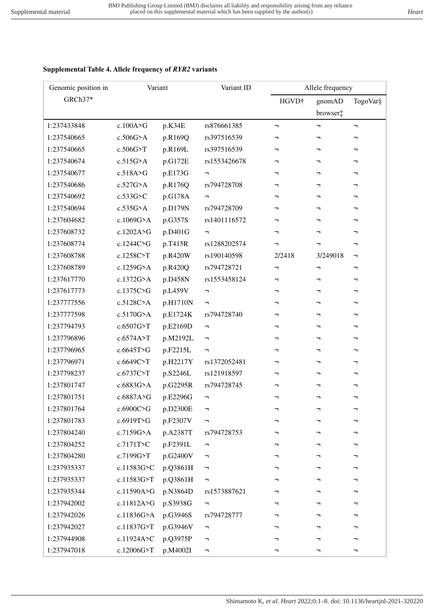## **Supplemental Table 4. Allele frequency of** *RYR2* **variants**

| Genomic position in | Variant      |          | Variant ID                                    |                               | Allele frequency |          |
|---------------------|--------------|----------|-----------------------------------------------|-------------------------------|------------------|----------|
| GRCh37*             |              |          |                                               | HGVD <sup>+</sup>             | gnomAD           | TogoVar§ |
|                     |              |          |                                               |                               | browser:         |          |
| 1:237433848         | c.100A>G     | p.K34E   | rs876661385                                   | $\blacksquare$                | F                | π,       |
| 1:237540665         | $c.506G$ >A  | p.R169Q  | rs397516539                                   | ┑                             | F                | -        |
| 1:237540665         | c.506G>T     | p.R169L  | rs397516539                                   | ┑                             | ┑                | ┑        |
| 1:237540674         | c.515G>A     | p.G172E  | rs1553426678                                  | ┑                             | F                | F        |
| 1:237540677         | c.518A > G   | p.E173G  | F                                             | ┑                             | ÷,               | ┑        |
| 1:237540686         | c.527G>A     | p.R176Q  | rs794728708                                   | ┑                             | ┑                | ┑        |
| 1:237540692         | c.533G>C     | p.G178A  | F                                             | ┑                             | h                | ┑        |
| 1:237540694         | $c.535G$ >A  | p.D179N  | rs794728709                                   | ┑                             | h                | ┑        |
| 1:237604682         | c.1069G>A    | p.G357S  | rs1401116572                                  | ┑                             | F                | F        |
| 1:237608732         | c.1202A>G    | p.D401G  | F                                             | ┑                             | F                | ┑        |
| 1:237608774         | c.1244C>G    | p.T415R  | rs1288202574                                  | ┑                             | h                | ┑        |
| 1:237608788         | c.1258C>T    | p.R420W  | rs190140598                                   | 2/2418                        | 3/249018         | F        |
| 1:237608789         | c.1259G>A    | p.R420Q  | rs794728721                                   | $\mathbin{\rightharpoondown}$ | F                | ┑        |
| 1:237617770         | c.1372G>A    | p.D458N  | rs1553458124                                  | ┑                             | F                | F        |
| 1:237617773         | c.1375C>G    | p.L459V  | F                                             | ┑                             | ┑                | ┑        |
| 1:237777556         | c.5128C>A    | p.H1710N | $\overline{\phantom{0}}$                      | ┑                             | ┑                | ┑        |
| 1:237777598         | c.5170G>A    | p.E1724K | rs794728740                                   |                               | ÷,               | -        |
| 1:237794793         | c.6507G>T    | p.E2169D | $\blacksquare$                                | ┑                             | ┑                | ┑        |
| 1:237796896         | c.6574A>T    | p.M2192L | $\overline{\phantom{a}}$                      | ┑                             | F                | ┑        |
| 1:237796965         | c.6645T>G    | p.F2215L | $\blacksquare$                                | ┑                             | ÷,               | ┑        |
| 1:237796971         | c.6649C>T    | p.H2217Y | rs1372052481                                  | ┑                             | ┑                | ┑        |
| 1:237798237         | c.6737C>T    | p.S2246L | rs121918597                                   | ┑                             | ┑                | ┑        |
| 1:237801747         | c.6883G>A    | p.G2295R | rs794728745                                   | ┑                             | ┑                | ┑        |
| 1:237801751         | c.6887A>G    | p.E2296G | $\overline{\phantom{a}}$                      | ┑                             | ┑                | ┑        |
| 1:237801764         | c.6900C>G    | p.D2300E |                                               |                               |                  |          |
| 1:237801783         | c.6919T>G    | p.F2307V | F                                             | ┑                             | ┑                | ┑        |
| 1:237804240         | $c.7159G$ >A | p.A2387T | rs794728753                                   | ┑                             | ┑                | ┑        |
| 1:237804252         | c.7171T>C    | p.F2391L | F                                             |                               |                  | ┑        |
| 1:237804280         | c.7199G>T    | p.G2400V | F                                             | ┑                             | ┑                | ┑        |
| 1:237935337         | c.11583G>C   | p.Q3861H | F                                             |                               | ┑                | ┑        |
| 1:237935337         | c.11583G>T   | p.Q3861H | F                                             | ┑                             | ┑                | ┑        |
| 1:237935344         | c.11590A>G   | p.N3864D | rs1573887621                                  | ┑                             | ┑                | ┑        |
| 1:237942002         | c.11812A>G   | p.S3938G | F                                             |                               |                  | ┑        |
| 1:237942026         | c.11836G>A   | p.G3946S | rs794728777                                   | ┑                             | ┑                | ┑        |
| 1:237942027         | c.11837G>T   | p.G3946V | $\mathord{\hspace{1pt}\text{--}\hspace{1pt}}$ | ┑                             | ┑                | ┑        |
| 1:237944908         | c.11924A>C   | p.Q3975P | F                                             |                               | ┑                | ┑        |
| 1:237947018         | c.12006G>T   | p.M4002I | $\overline{\phantom{a}}$                      | ┑                             | F                | ┑        |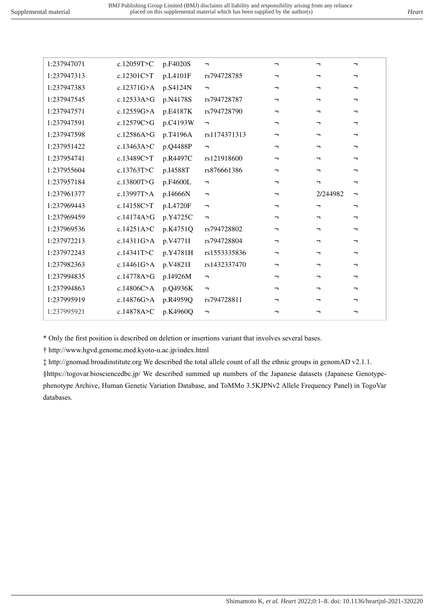| 1:237947071 | c.12059T>C   | p.F4020S | ÷,             | ┑.                       | ┑.                    | -                     |
|-------------|--------------|----------|----------------|--------------------------|-----------------------|-----------------------|
| 1:237947313 | c.12301C>T   | p.L4101F | rs794728785    | ┑.                       | π.                    | $\mathbf{\mathsf{a}}$ |
| 1:237947383 | c.12371G > A | p.S4124N | π,             | F                        | ┑.                    | -                     |
| 1:237947545 | c.12533A>G   | p.N4178S | rs794728787    | ┑.                       | ┑.                    | ┑                     |
| 1:237947571 | c.12559G>A   | p.E4187K | rs794728790    | ┑.                       | ┑.                    | ┑                     |
| 1:237947591 | c.12579C>G   | p.C4193W | <b>-</b>       | ┑                        | ┑.                    | −                     |
| 1:237947598 | c.12586A>G   | p.T4196A | rs1174371313   | ┑.                       | ┑.                    | ┑                     |
| 1:237951422 | c.13463A>C   | p.Q4488P | π,             | ┑.                       | T.                    | -                     |
| 1:237954741 | c.13489C>T   | p.R4497C | rs121918600    | ┑.                       | ┑.                    | ┑                     |
| 1:237955604 | c.13763T>C   | p.I4588T | rs876661386    | ┑                        | ┑.                    | ┑                     |
| 1:237957184 | c.13800T>G   | p.F4600L | F.             | ┑.                       | ┑.                    | $\mathbf{\mathsf{a}}$ |
| 1:237961377 | c.13997T>A   | p.I4666N | $\blacksquare$ | $\overline{\phantom{a}}$ | 2/244982              | $\blacksquare$        |
| 1:237969443 | c.14158C>T   | p.L4720F | ÷,             | ┑                        | ┑                     | ┑                     |
| 1:237969459 | c.14174A>G   | p.Y4725C | $\blacksquare$ | <b>-</b>                 | ┑.                    | ┑                     |
| 1:237969536 | c.14251A>C   | p.K4751Q | rs794728802    | ┑.                       | ┑.                    | ┑                     |
| 1:237972213 | c.14311G > A | p.V4771I | rs794728804    | Ξ,                       | $\mathbf{\mathsf{u}}$ | ┑                     |
| 1:237972243 | c.14341T>C   | p.Y4781H | rs1553335836   | ┑.                       | ┑.                    | ┑                     |
| 1:237982363 | c.14461G>A   | p.V4821I | rs1432337470   | ┑.                       | ┑.                    | ┑                     |
| 1:237994835 | c.14778A>G   | p.I4926M | F.             | <b>-</b>                 | ┑.                    | ┑                     |
|             |              |          |                |                          |                       |                       |
| 1:237994863 | c.14806C>A   | p.Q4936K | π,             | ┑.                       | ┑.                    | ┑                     |
| 1:237995919 | c.14876G>A   | p.R4959Q | rs794728811    | Ξ,                       | Ξ,                    | -                     |
| 1:237995921 | c.14878A>C   | p.K4960Q | ÷,             | ┑                        | ┑                     | ┑                     |

\* Only the first position is described on deletion or insertions variant that involves several bases.

† http://www.hgvd.genome.med.kyoto-u.ac.jp/index.html

‡ http://gnomad.broadinstitute.org We described the total allele count of all the ethnic groups in genomAD v2.1.1.

§https://togovar.biosciencedbc.jp/ We described summed up numbers of the Japanese datasets (Japanese Genotypephenotype Archive, Human Genetic Variation Database, and ToMMo 3.5KJPNv2 Allele Frequency Panel) in TogoVar databases.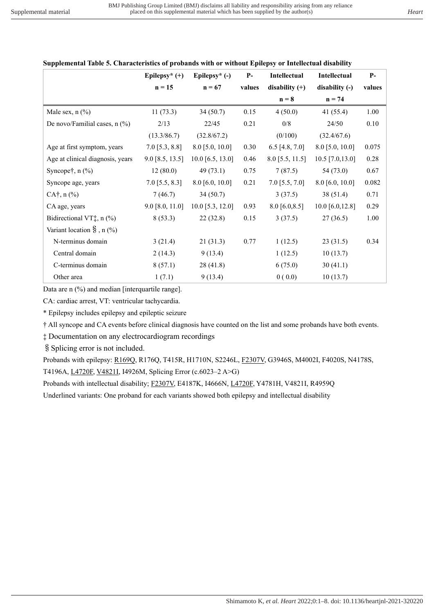|                                     | Epilepsy* $(+)$   | Epilepsy* (-)      | $P-$   | <b>Intellectual</b> | <b>Intellectual</b> | $P-$     |
|-------------------------------------|-------------------|--------------------|--------|---------------------|---------------------|----------|
|                                     | $n = 15$          | $n = 67$           | values | disability $(+)$    | disability (-)      | values   |
|                                     |                   |                    |        | $n = 8$             | $n = 74$            |          |
| Male sex, $n$ $(\%)$                | 11(73.3)          | 34(50.7)           | 0.15   | 4(50.0)             | 41 $(55.4)$         | 1.00     |
| De novo/Familial cases, $n$ (%)     | 2/13              | 22/45              | 0.21   | 0/8                 | 24/50               | 0.10     |
|                                     | (13.3/86.7)       | (32.8/67.2)        |        | (0/100)             | (32.4/67.6)         |          |
| Age at first symptom, years         | $7.0$ [5.3, 8.8]  | $8.0$ [5.0, 10.0]  | 0.30   | 6.5 [4.8, 7.0]      | $8.0$ [5.0, 10.0]   | 0.075    |
| Age at clinical diagnosis, years    | $9.0$ [8.5, 13.5] | $10.0$ [6.5, 13.0] | 0.46   | $8.0$ [5.5, 11.5]   | $10.5$ [7.0,13.0]   | $0.28\,$ |
| Syncope $\dagger$ , n $(\%)$        | 12(80.0)          | 49(73.1)           | 0.75   | 7(87.5)             | 54 (73.0)           | 0.67     |
| Syncope age, years                  | $7.0$ [5.5, 8.3]  | $8.0$ [6.0, 10.0]  | 0.21   | $7.0$ [5.5, $7.0$ ] | $8.0$ [6.0, 10.0]   | 0.082    |
| $CA^{\dagger}$ , n $(\%$ )          | 7(46.7)           | 34(50.7)           |        | 3(37.5)             | 38 (51.4)           | 0.71     |
| CA age, years                       | $9.0$ [8.0, 11.0] | $10.0$ [5.3, 12.0] | 0.93   | $8.0$ [6.0,8.5]     | 10.0 $[6.0, 12.8]$  | 0.29     |
| Bidirectional VT $\ddagger$ , n (%) | 8(53.3)           | 22(32.8)           | 0.15   | 3(37.5)             | 27(36.5)            | 1.00     |
| Variant location $\S$ , n $(\%)$    |                   |                    |        |                     |                     |          |
| N-terminus domain                   | 3(21.4)           | 21(31.3)           | 0.77   | 1(12.5)             | 23(31.5)            | 0.34     |
| Central domain                      | 2(14.3)           | 9(13.4)            |        | 1(12.5)             | 10(13.7)            |          |
| C-terminus domain                   | 8(57.1)           | 28(41.8)           |        | 6(75.0)             | 30(41.1)            |          |
| Other area                          | 1(7.1)            | 9(13.4)            |        | 0(0.0)              | 10(13.7)            |          |

# **Supplemental Table 5. Characteristics of probands with or without Epilepsy or Intellectual disability**

Data are n (%) and median [interquartile range].

CA: cardiac arrest, VT: ventricular tachycardia.

\* Epilepsy includes epilepsy and epileptic seizure

† All syncope and CA events before clinical diagnosis have counted on the list and some probands have both events.

‡ Documentation on any electrocardiogram recordings

§Splicing error is not included.

Probands with epilepsy: R169Q, R176Q, T415R, H1710N, S2246L, F2307V, G3946S, M4002I, F4020S, N4178S, T4196A, L4720F, V4821I, I4926M, Splicing Error (c.6023–2 A>G)

Probands with intellectual disability; F2307V, E4187K, I4666N, L4720F, Y4781H, V4821I, R4959Q

Underlined variants: One proband for each variants showed both epilepsy and intellectual disability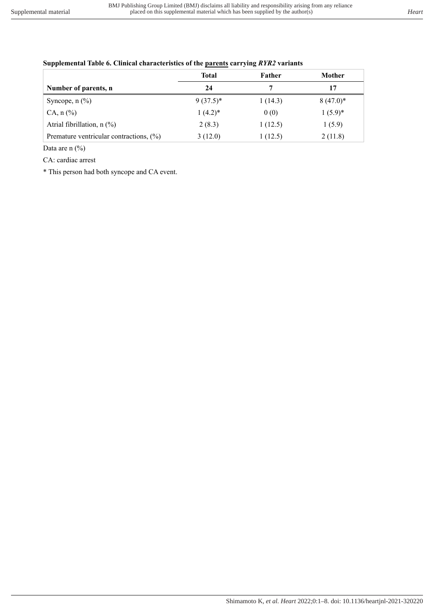|                                         | <b>Total</b> | Father  | Mother      |
|-----------------------------------------|--------------|---------|-------------|
| Number of parents, n                    | 24           |         | 17          |
| Syncope, $n$ $(\%)$                     | $9(37.5)^*$  | 1(14.3) | $8(47.0)^*$ |
| $CA, n (\%)$                            | $1(4.2)^*$   | 0(0)    | $1(5.9)^*$  |
| Atrial fibrillation, $n$ (%)            | 2(8.3)       | 1(12.5) | 1(5.9)      |
| Premature ventricular contractions, (%) | 3(12.0)      | 1(12.5) | 2(11.8)     |

#### **Supplemental Table 6. Clinical characteristics of the parents carrying** *RYR2* **variants**

Data are n  $(\%$ 

CA: cardiac arrest

\* This person had both syncope and CA event.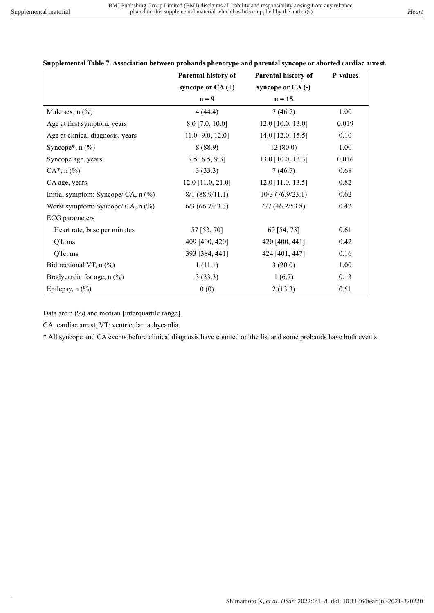|                                     | Parental history of | Parental history of | <b>P-values</b> |
|-------------------------------------|---------------------|---------------------|-----------------|
|                                     | syncope or $CA$ (+) | syncope or CA(-)    |                 |
|                                     | $n = 9$             | $n = 15$            |                 |
| Male sex, $n$ $(\%)$                | 4(44.4)             | 7(46.7)             | 1.00            |
| Age at first symptom, years         | $8.0$ [7.0, 10.0]   | $12.0$ [10.0, 13.0] | 0.019           |
| Age at clinical diagnosis, years    | $11.0$ [9.0, 12.0]  | 14.0 [12.0, 15.5]   | 0.10            |
| Syncope*, $n$ $(\%)$                | 8(88.9)             | 12(80.0)            | 1.00            |
| Syncope age, years                  | $7.5$ [6.5, 9.3]    | $13.0$ [10.0, 13.3] | 0.016           |
| $CA^*$ , n $(\%)$                   | 3(33.3)             | 7(46.7)             | 0.68            |
| CA age, years                       | $12.0$ [11.0, 21.0] | $12.0$ [11.0, 13.5] | 0.82            |
| Initial symptom: Syncope/ CA, n (%) | 8/1 (88.9/11.1)     | $10/3$ (76.9/23.1)  | 0.62            |
| Worst symptom: Syncope/ CA, $n$ (%) | $6/3$ (66.7/33.3)   | $6/7$ (46.2/53.8)   | 0.42            |
| <b>ECG</b> parameters               |                     |                     |                 |
| Heart rate, base per minutes        | 57 [53, 70]         | 60 [54, 73]         | 0.61            |
| QT, ms                              | 409 [400, 420]      | 420 [400, 441]      | 0.42            |
| QTc, ms                             | 393 [384, 441]      | 424 [401, 447]      | 0.16            |
| Bidirectional VT, $n$ (%)           | 1(11.1)             | 3(20.0)             | 1.00            |
| Bradycardia for age, n (%)          | 3(33.3)             | 1(6.7)              | 0.13            |
| Epilepsy, $n$ $(\%)$                | 0(0)                | 2(13.3)             | 0.51            |

**Supplemental Table 7. Association between probands phenotype and parental syncope or aborted cardiac arrest.**

Data are n (%) and median [interquartile range].

CA: cardiac arrest, VT: ventricular tachycardia.

\* All syncope and CA events before clinical diagnosis have counted on the list and some probands have both events.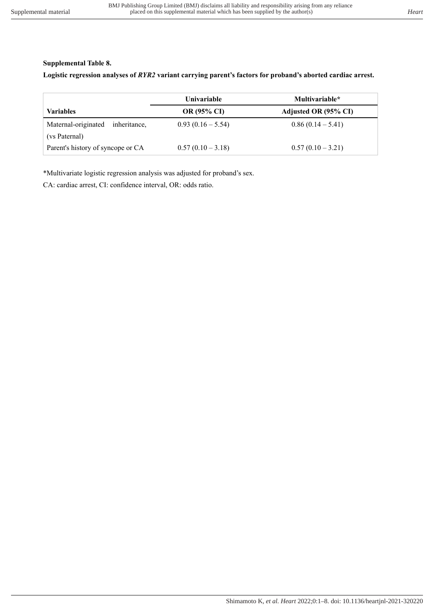# **Supplemental Table 8.**

**Logistic regression analyses of** *RYR2* **variant carrying parent's factors for proband's aborted cardiac arrest.** 

|                                     | Univariable        | Multivariable*       |
|-------------------------------------|--------------------|----------------------|
| <b>Variables</b>                    | <b>OR (95% CI)</b> | Adjusted OR (95% CI) |
| Maternal-originated<br>inheritance, | $0.93(0.16-5.54)$  | $0.86(0.14-5.41)$    |
| (vs Paternal)                       |                    |                      |
| Parent's history of syncope or CA   | $0.57(0.10-3.18)$  | $0.57(0.10-3.21)$    |

\*Multivariate logistic regression analysis was adjusted for proband's sex.

CA: cardiac arrest, CI: confidence interval, OR: odds ratio.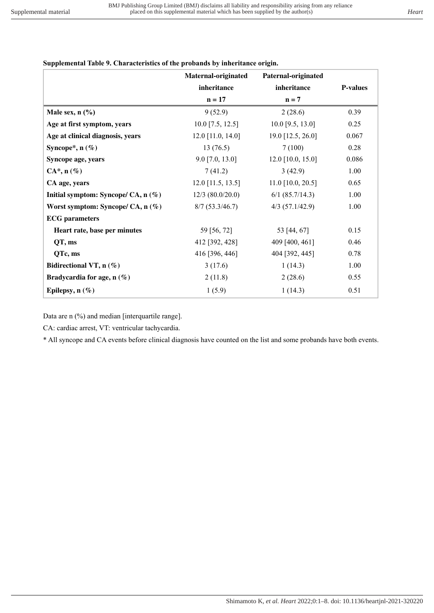# **Supplemental Table 9. Characteristics of the probands by inheritance origin.**

|                                       | Maternal-originated | Paternal-originated |                 |
|---------------------------------------|---------------------|---------------------|-----------------|
|                                       | inheritance         | inheritance         | <b>P-values</b> |
|                                       | $n = 17$            | $n = 7$             |                 |
| Male sex, $n$ $(\%)$                  | 9(52.9)             | 2(28.6)             | 0.39            |
| Age at first symptom, years           | $10.0$ [7.5, 12.5]  | $10.0$ [9.5, 13.0]  | 0.25            |
| Age at clinical diagnosis, years      | $12.0$ [11.0, 14.0] | 19.0 [12.5, 26.0]   | 0.067           |
| Syncope*, $n$ (%)                     | 13(76.5)            | 7(100)              | 0.28            |
| Syncope age, years                    | $9.0$ [7.0, 13.0]   | $12.0$ [10.0, 15.0] | 0.086           |
| $CA^*$ , n $(\%)$                     | 7(41.2)             | 3(42.9)             | 1.00            |
| CA age, years                         | $12.0$ [11.5, 13.5] | $11.0$ [10.0, 20.5] | 0.65            |
| Initial symptom: Syncope/ CA, $n$ (%) | $12/3$ (80.0/20.0)  | $6/1$ (85.7/14.3)   | 1.00            |
| Worst symptom: Syncope/ CA, $n$ (%)   | 8/7(53.3/46.7)      | $4/3$ (57.1/42.9)   | 1.00            |
| <b>ECG</b> parameters                 |                     |                     |                 |
| Heart rate, base per minutes          | 59 [56, 72]         | 53 [44, 67]         | 0.15            |
| QT, ms                                | 412 [392, 428]      | 409 [400, 461]      | 0.46            |
| QTc, ms                               | 416 [396, 446]      | 404 [392, 445]      | 0.78            |
| Bidirectional VT, $n$ (%)             | 3(17.6)             | 1(14.3)             | 1.00            |
| Bradycardia for age, $n(\%)$          | 2(11.8)             | 2(28.6)             | 0.55            |
| Epilepsy, $n$ (%)                     | 1(5.9)              | 1(14.3)             | 0.51            |

Data are n (%) and median [interquartile range].

CA: cardiac arrest, VT: ventricular tachycardia.

\* All syncope and CA events before clinical diagnosis have counted on the list and some probands have both events.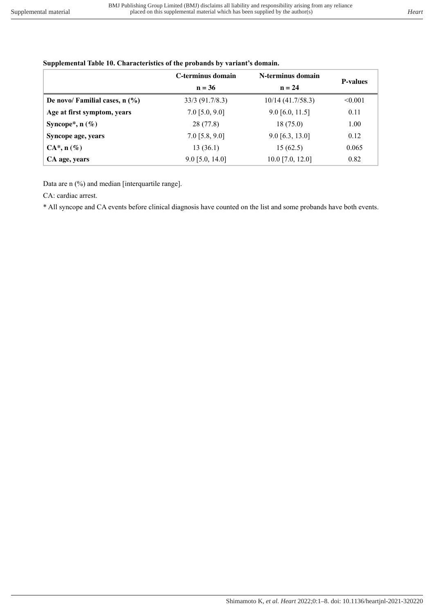|                                  | C-terminus domain | N-terminus domain   | <b>P-values</b> |
|----------------------------------|-------------------|---------------------|-----------------|
|                                  | $n = 36$          | $n = 24$            |                 |
| De novo/ Familial cases, $n$ (%) | $33/3$ (91.7/8.3) | $10/14$ (41.7/58.3) | < 0.001         |
| Age at first symptom, years      | $7.0$ [5.0, 9.0]  | $9.0$ [6.0, 11.5]   | 0.11            |
| Syncope*, $n$ (%)                | 28(77.8)          | 18(75.0)            | 1.00            |
| Syncope age, years               | $7.0$ [5.8, 9.0]  | $9.0$ [6.3, 13.0]   | 0.12            |
| $CA^*, n(\%)$                    | 13(36.1)          | 15(62.5)            | 0.065           |
| CA age, years                    | $9.0$ [5.0, 14.0] | $10.0$ [7.0, 12.0]  | 0.82            |

#### **Supplemental Table 10. Characteristics of the probands by variant's domain.**

Data are n (%) and median [interquartile range].

CA: cardiac arrest.

\* All syncope and CA events before clinical diagnosis have counted on the list and some probands have both events.